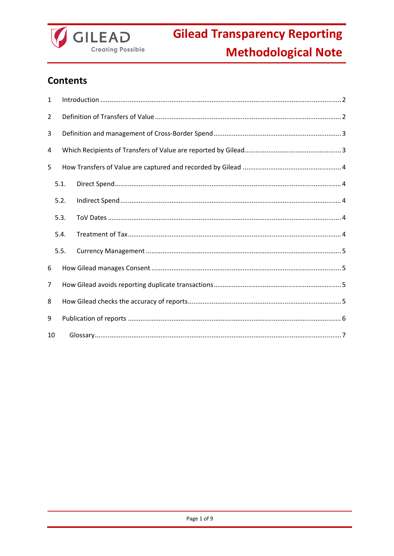

### **Contents**

| 1              |      |  |  |  |  |
|----------------|------|--|--|--|--|
| $\overline{2}$ |      |  |  |  |  |
| 3              |      |  |  |  |  |
| 4              |      |  |  |  |  |
| 5              |      |  |  |  |  |
|                | 5.1. |  |  |  |  |
|                | 5.2. |  |  |  |  |
|                | 5.3. |  |  |  |  |
|                | 5.4. |  |  |  |  |
|                | 5.5. |  |  |  |  |
| 6              |      |  |  |  |  |
| 7              |      |  |  |  |  |
| 8              |      |  |  |  |  |
| 9              |      |  |  |  |  |
| 10             |      |  |  |  |  |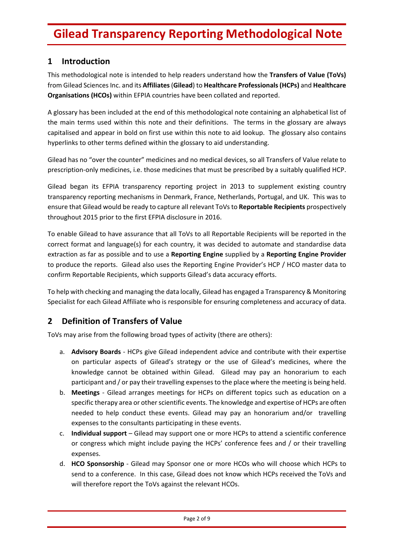### **1 Introduction**

This methodological note is intended to help readers understand how the **Transfers of Value (ToVs)** from Gilead SciencesInc. and its **Affiliates**(**Gilead**) to **Healthcare Professionals(HCPs)** and **Healthcare Organisations (HCOs)** within EFPIA countries have been collated and reported.

A glossary has been included at the end of this methodological note containing an alphabetical list of the main terms used within this note and their definitions. The terms in the glossary are always capitalised and appear in bold on first use within this note to aid lookup. The glossary also contains hyperlinks to other terms defined within the glossary to aid understanding.

Gilead has no "over the counter" medicines and no medical devices, so all Transfers of Value relate to prescription‐only medicines, i.e. those medicines that must be prescribed by a suitably qualified HCP.

Gilead began its EFPIA transparency reporting project in 2013 to supplement existing country transparency reporting mechanisms in Denmark, France, Netherlands, Portugal, and UK. This was to ensure that Gilead would be ready to capture all relevant ToVsto **Reportable Recipients** prospectively throughout 2015 prior to the first EFPIA disclosure in 2016.

To enable Gilead to have assurance that all ToVs to all Reportable Recipients will be reported in the correct format and language(s) for each country, it was decided to automate and standardise data extraction as far as possible and to use a **Reporting Engine** supplied by a **Reporting Engine Provider** to produce the reports. Gilead also uses the Reporting Engine Provider's HCP / HCO master data to confirm Reportable Recipients, which supports Gilead's data accuracy efforts.

To help with checking and managing the data locally, Gilead has engaged a Transparency & Monitoring Specialist for each Gilead Affiliate who is responsible for ensuring completeness and accuracy of data.

### **2 Definition of Transfers of Value**

ToVs may arise from the following broad types of activity (there are others):

- a. **Advisory Boards** ‐ HCPs give Gilead independent advice and contribute with their expertise on particular aspects of Gilead's strategy or the use of Gilead's medicines, where the knowledge cannot be obtained within Gilead. Gilead may pay an honorarium to each participant and / or pay their travelling expensesto the place where the meeting is being held.
- b. **Meetings** ‐ Gilead arranges meetings for HCPs on different topics such as education on a specific therapy area or other scientific events. The knowledge and expertise of HCPs are often needed to help conduct these events. Gilead may pay an honorarium and/or travelling expenses to the consultants participating in these events.
- c. **Individual support** Gilead may support one or more HCPs to attend a scientific conference or congress which might include paying the HCPs' conference fees and / or their travelling expenses.
- d. **HCO Sponsorship** ‐ Gilead may Sponsor one or more HCOs who will choose which HCPs to send to a conference. In this case, Gilead does not know which HCPs received the ToVs and will therefore report the ToVs against the relevant HCOs.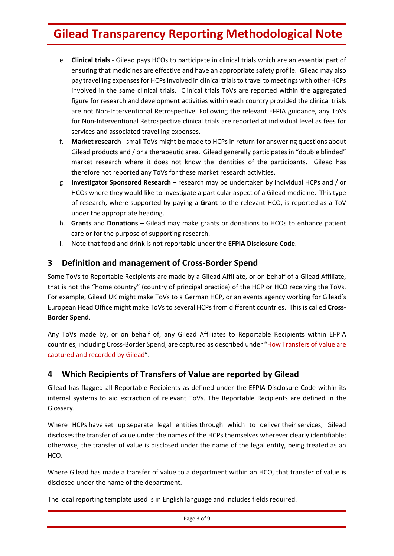- e. **Clinical trials** ‐ Gilead pays HCOs to participate in clinical trials which are an essential part of ensuring that medicines are effective and have an appropriate safety profile. Gilead may also pay travelling expenses for HCPs involved in clinical trials to travel to meetings with other HCPs involved in the same clinical trials. Clinical trials ToVs are reported within the aggregated figure for research and development activities within each country provided the clinical trials are not Non-Interventional Retrospective. Following the relevant EFPIA guidance, any ToVs for Non‐Interventional Retrospective clinical trials are reported at individual level as fees for services and associated travelling expenses.
- f. **Market research** ‐ small ToVs might be made to HCPs in return for answering questions about Gilead products and / or a therapeutic area. Gilead generally participates in "double blinded" market research where it does not know the identities of the participants. Gilead has therefore not reported any ToVs for these market research activities.
- g. **Investigator Sponsored Research** research may be undertaken by individual HCPs and / or HCOs where they would like to investigate a particular aspect of a Gilead medicine. This type of research, where supported by paying a **Grant** to the relevant HCO, is reported as a ToV under the appropriate heading.
- h. **Grants** and **Donations** Gilead may make grants or donations to HCOs to enhance patient care or for the purpose of supporting research.
- i. Note that food and drink is not reportable under the **EFPIA Disclosure Code**.

### **3 Definition and management of Cross‐Border Spend**

Some ToVs to Reportable Recipients are made by a Gilead Affiliate, or on behalf of a Gilead Affiliate, that is not the "home country" (country of principal practice) of the HCP or HCO receiving the ToVs. For example, Gilead UK might make ToVs to a German HCP, or an events agency working for Gilead's European Head Office might make ToVs to several HCPs from different countries. This is called **Cross‐ Border Spend**.

Any ToVs made by, or on behalf of, any Gilead Affiliates to Reportable Recipients within EFPIA countries, including Cross‐Border Spend, are captured as described under "How Transfers of Value are captured and recorded by Gilead".

### **4 Which Recipients of Transfers of Value are reported by Gilead**

Gilead has flagged all Reportable Recipients as defined under the EFPIA Disclosure Code within its internal systems to aid extraction of relevant ToVs. The Reportable Recipients are defined in the Glossary.

Where HCPs have set up separate legal entities through which to deliver their services, Gilead discloses the transfer of value under the names of the HCPs themselves wherever clearly identifiable; otherwise, the transfer of value is disclosed under the name of the legal entity, being treated as an HCO.

Where Gilead has made a transfer of value to a department within an HCO, that transfer of value is disclosed under the name of the department.

The local reporting template used is in English language and includes fields required.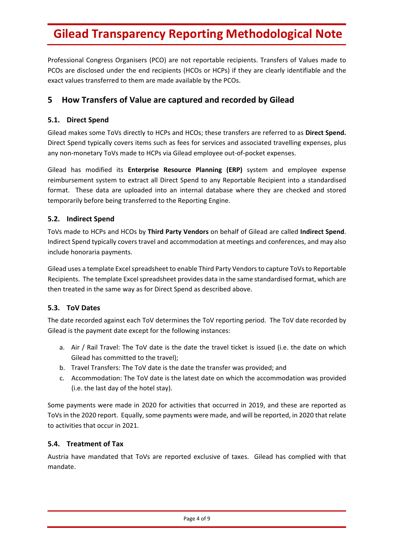Professional Congress Organisers (PCO) are not reportable recipients. Transfers of Values made to PCOs are disclosed under the end recipients (HCOs or HCPs) if they are clearly identifiable and the exact values transferred to them are made available by the PCOs.

### **5 How Transfers of Value are captured and recorded by Gilead**

#### **5.1. Direct Spend**

Gilead makes some ToVs directly to HCPs and HCOs; these transfers are referred to as **Direct Spend.** Direct Spend typically covers items such as fees for services and associated travelling expenses, plus any non‐monetary ToVs made to HCPs via Gilead employee out‐of‐pocket expenses.

Gilead has modified its **Enterprise Resource Planning (ERP)** system and employee expense reimbursement system to extract all Direct Spend to any Reportable Recipient into a standardised format. These data are uploaded into an internal database where they are checked and stored temporarily before being transferred to the Reporting Engine.

#### **5.2. Indirect Spend**

ToVs made to HCPs and HCOs by **Third Party Vendors** on behalf of Gilead are called **Indirect Spend**. Indirect Spend typically covers travel and accommodation at meetings and conferences, and may also include honoraria payments.

Gilead uses a template Excel spreadsheet to enable Third Party Vendors to capture ToVs to Reportable Recipients. The template Excel spreadsheet provides data in the same standardised format, which are then treated in the same way as for Direct Spend as described above.

#### **5.3. ToV Dates**

The date recorded against each ToV determines the ToV reporting period. The ToV date recorded by Gilead is the payment date except for the following instances:

- a. Air / Rail Travel: The ToV date is the date the travel ticket is issued (i.e. the date on which Gilead has committed to the travel);
- b. Travel Transfers: The ToV date is the date the transfer was provided; and
- c. Accommodation: The ToV date is the latest date on which the accommodation was provided (i.e. the last day of the hotel stay).

Some payments were made in 2020 for activities that occurred in 2019, and these are reported as ToVs in the 2020 report. Equally, some payments were made, and will be reported, in 2020 that relate to activities that occur in 2021.

#### **5.4. Treatment of Tax**

Austria have mandated that ToVs are reported exclusive of taxes. Gilead has complied with that mandate.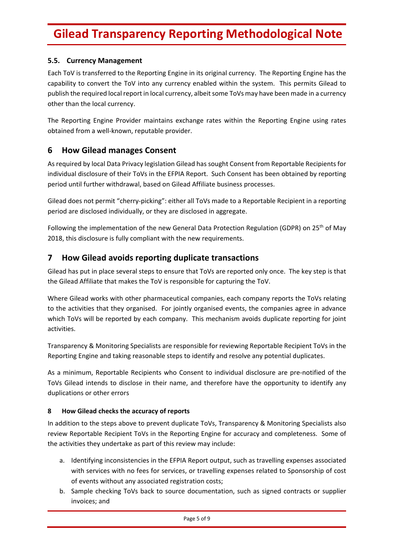#### **5.5. Currency Management**

Each ToV is transferred to the Reporting Engine in its original currency. The Reporting Engine has the capability to convert the ToV into any currency enabled within the system. This permits Gilead to publish the required local report in local currency, albeit some ToVs may have been made in a currency other than the local currency.

The Reporting Engine Provider maintains exchange rates within the Reporting Engine using rates obtained from a well‐known, reputable provider.

### **6 How Gilead manages Consent**

As required by local Data Privacy legislation Gilead has sought Consent from Reportable Recipients for individual disclosure of their ToVs in the EFPIA Report. Such Consent has been obtained by reporting period until further withdrawal, based on Gilead Affiliate business processes.

Gilead does not permit "cherry‐picking": either all ToVs made to a Reportable Recipient in a reporting period are disclosed individually, or they are disclosed in aggregate.

Following the implementation of the new General Data Protection Regulation (GDPR) on 25<sup>th</sup> of May 2018, this disclosure is fully compliant with the new requirements.

### **7 How Gilead avoids reporting duplicate transactions**

Gilead has put in place several steps to ensure that ToVs are reported only once. The key step is that the Gilead Affiliate that makes the ToV is responsible for capturing the ToV.

Where Gilead works with other pharmaceutical companies, each company reports the ToVs relating to the activities that they organised. For jointly organised events, the companies agree in advance which ToVs will be reported by each company. This mechanism avoids duplicate reporting for joint activities.

Transparency & Monitoring Specialists are responsible for reviewing Reportable Recipient ToVs in the Reporting Engine and taking reasonable steps to identify and resolve any potential duplicates.

As a minimum, Reportable Recipients who Consent to individual disclosure are pre‐notified of the ToVs Gilead intends to disclose in their name, and therefore have the opportunity to identify any duplications or other errors

#### **8 How Gilead checks the accuracy of reports**

In addition to the steps above to prevent duplicate ToVs, Transparency & Monitoring Specialists also review Reportable Recipient ToVs in the Reporting Engine for accuracy and completeness. Some of the activities they undertake as part of this review may include:

- a. Identifying inconsistencies in the EFPIA Report output, such as travelling expenses associated with services with no fees for services, or travelling expenses related to Sponsorship of cost of events without any associated registration costs;
- b. Sample checking ToVs back to source documentation, such as signed contracts or supplier invoices; and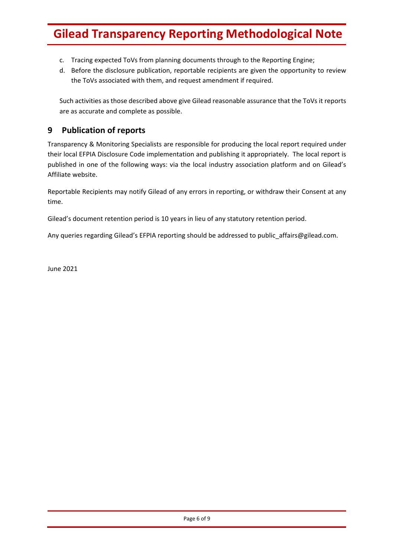- c. Tracing expected ToVs from planning documents through to the Reporting Engine;
- d. Before the disclosure publication, reportable recipients are given the opportunity to review the ToVs associated with them, and request amendment if required.

Such activities as those described above give Gilead reasonable assurance that the ToVs it reports are as accurate and complete as possible.

### **9 Publication of reports**

Transparency & Monitoring Specialists are responsible for producing the local report required under their local EFPIA Disclosure Code implementation and publishing it appropriately. The local report is published in one of the following ways: via the local industry association platform and on Gilead's Affiliate website.

Reportable Recipients may notify Gilead of any errors in reporting, or withdraw their Consent at any time.

Gilead's document retention period is 10 years in lieu of any statutory retention period.

Any queries regarding Gilead's EFPIA reporting should be addressed to public\_affairs@gilead.com.

June 2021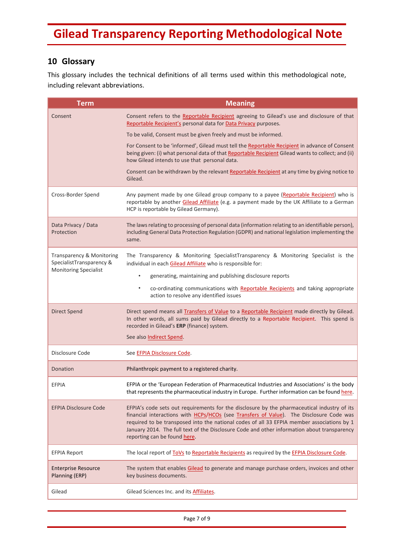### **10 Glossary**

This glossary includes the technical definitions of all terms used within this methodological note, including relevant abbreviations.

| <b>Term</b>                                                                           | <b>Meaning</b>                                                                                                                                                                                                                                                                                                                                                                                                      |
|---------------------------------------------------------------------------------------|---------------------------------------------------------------------------------------------------------------------------------------------------------------------------------------------------------------------------------------------------------------------------------------------------------------------------------------------------------------------------------------------------------------------|
| Consent                                                                               | Consent refers to the Reportable Recipient agreeing to Gilead's use and disclosure of that<br>Reportable Recipient's personal data for Data Privacy purposes.                                                                                                                                                                                                                                                       |
|                                                                                       | To be valid, Consent must be given freely and must be informed.                                                                                                                                                                                                                                                                                                                                                     |
|                                                                                       | For Consent to be 'informed', Gilead must tell the Reportable Recipient in advance of Consent<br>being given: (i) what personal data of that Reportable Recipient Gilead wants to collect; and (ii)<br>how Gilead intends to use that personal data.                                                                                                                                                                |
|                                                                                       | Consent can be withdrawn by the relevant Reportable Recipient at any time by giving notice to<br>Gilead.                                                                                                                                                                                                                                                                                                            |
| Cross-Border Spend                                                                    | Any payment made by one Gilead group company to a payee (Reportable Recipient) who is<br>reportable by another Gilead Affiliate (e.g. a payment made by the UK Affiliate to a German<br>HCP is reportable by Gilead Germany).                                                                                                                                                                                       |
| Data Privacy / Data<br>Protection                                                     | The laws relating to processing of personal data (information relating to an identifiable person),<br>including General Data Protection Regulation (GDPR) and national legislation implementing the<br>same.                                                                                                                                                                                                        |
| Transparency & Monitoring<br>SpecialistTransparency &<br><b>Monitoring Specialist</b> | The Transparency & Monitoring SpecialistTransparency & Monitoring Specialist is the<br>individual in each Gilead Affiliate who is responsible for:                                                                                                                                                                                                                                                                  |
|                                                                                       | generating, maintaining and publishing disclosure reports<br>٠                                                                                                                                                                                                                                                                                                                                                      |
|                                                                                       | co-ordinating communications with Reportable Recipients and taking appropriate<br>$\bullet$<br>action to resolve any identified issues                                                                                                                                                                                                                                                                              |
| <b>Direct Spend</b>                                                                   | Direct spend means all <b>Transfers of Value</b> to a Reportable Recipient made directly by Gilead.<br>In other words, all sums paid by Gilead directly to a Reportable Recipient. This spend is<br>recorded in Gilead's ERP (finance) system.                                                                                                                                                                      |
|                                                                                       | See also Indirect Spend.                                                                                                                                                                                                                                                                                                                                                                                            |
| Disclosure Code                                                                       | See EFPIA Disclosure Code.                                                                                                                                                                                                                                                                                                                                                                                          |
| Donation                                                                              | Philanthropic payment to a registered charity.                                                                                                                                                                                                                                                                                                                                                                      |
| EFPIA                                                                                 | EFPIA or the 'European Federation of Pharmaceutical Industries and Associations' is the body<br>that represents the pharmaceutical industry in Europe. Further information can be found here.                                                                                                                                                                                                                       |
| <b>EFPIA Disclosure Code</b>                                                          | EFPIA's code sets out requirements for the disclosure by the pharmaceutical industry of its<br>financial interactions with HCPs/HCOs (see Transfers of Value). The Disclosure Code was<br>required to be transposed into the national codes of all 33 EFPIA member associations by 1<br>January 2014. The full text of the Disclosure Code and other information about transparency<br>reporting can be found here. |
| <b>EFPIA Report</b>                                                                   | The local report of ToVs to Reportable Recipients as required by the EFPIA Disclosure Code.                                                                                                                                                                                                                                                                                                                         |
| <b>Enterprise Resource</b><br>Planning (ERP)                                          | The system that enables Gilead to generate and manage purchase orders, invoices and other<br>key business documents.                                                                                                                                                                                                                                                                                                |
| Gilead                                                                                | Gilead Sciences Inc. and its <b>Affiliates</b> .                                                                                                                                                                                                                                                                                                                                                                    |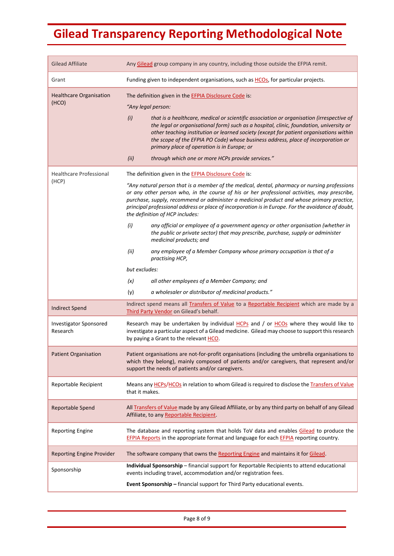| <b>Gilead Affiliate</b>                   | Any Gilead group company in any country, including those outside the EFPIA remit.                                                                                                                                                                                                                                                                                                                                                                                                                                                                                    |
|-------------------------------------------|----------------------------------------------------------------------------------------------------------------------------------------------------------------------------------------------------------------------------------------------------------------------------------------------------------------------------------------------------------------------------------------------------------------------------------------------------------------------------------------------------------------------------------------------------------------------|
| Grant                                     | Funding given to independent organisations, such as HCOs, for particular projects.                                                                                                                                                                                                                                                                                                                                                                                                                                                                                   |
| <b>Healthcare Organisation</b><br>(HCO)   | The definition given in the EFPIA Disclosure Code is:<br>"Any legal person:<br>that is a healthcare, medical or scientific association or organisation (irrespective of<br>(i)<br>the legal or organisational form) such as a hospital, clinic, foundation, university or<br>other teaching institution or learned society (except for patient organisations within<br>the scope of the EFPIA PO Code) whose business address, place of incorporation or<br>primary place of operation is in Europe; or<br>through which one or more HCPs provide services."<br>(ii) |
| <b>Healthcare Professional</b><br>(HCP)   | The definition given in the EFPIA Disclosure Code is:<br>"Any natural person that is a member of the medical, dental, pharmacy or nursing professions<br>or any other person who, in the course of his or her professional activities, may prescribe,<br>purchase, supply, recommend or administer a medicinal product and whose primary practice,<br>principal professional address or place of incorporation is in Europe. For the avoidance of doubt,<br>the definition of HCP includes:                                                                          |
|                                           | (i)<br>any official or employee of a government agency or other organisation (whether in<br>the public or private sector) that may prescribe, purchase, supply or administer<br>medicinal products; and<br>any employee of a Member Company whose primary occupation is that of a<br>(ii)<br>practising HCP,<br>but excludes:<br>all other employees of a Member Company; and<br>(x)<br>a wholesaler or distributor of medicinal products."<br>(y)                                                                                                                   |
| <b>Indirect Spend</b>                     | Indirect spend means all Transfers of Value to a Reportable Recipient which are made by a                                                                                                                                                                                                                                                                                                                                                                                                                                                                            |
| <b>Investigator Sponsored</b><br>Research | Third Party Vendor on Gilead's behalf.<br>Research may be undertaken by individual HCPs and / or HCOs where they would like to<br>investigate a particular aspect of a Gilead medicine. Gilead may choose to support this research<br>by paying a Grant to the relevant HCO.                                                                                                                                                                                                                                                                                         |
| <b>Patient Organisation</b>               | Patient organisations are not-for-profit organisations (including the umbrella organisations to<br>which they belong), mainly composed of patients and/or caregivers, that represent and/or<br>support the needs of patients and/or caregivers.                                                                                                                                                                                                                                                                                                                      |
| Reportable Recipient                      | Means any HCPs/HCOs in relation to whom Gilead is required to disclose the Transfers of Value<br>that it makes.                                                                                                                                                                                                                                                                                                                                                                                                                                                      |
| Reportable Spend                          | All Transfers of Value made by any Gilead Affiliate, or by any third party on behalf of any Gilead<br>Affiliate, to any Reportable Recipient.                                                                                                                                                                                                                                                                                                                                                                                                                        |
| <b>Reporting Engine</b>                   | The database and reporting system that holds ToV data and enables Gilead to produce the<br>EFPIA Reports in the appropriate format and language for each EFPIA reporting country.                                                                                                                                                                                                                                                                                                                                                                                    |
| <b>Reporting Engine Provider</b>          | The software company that owns the Reporting Engine and maintains it for Gilead.                                                                                                                                                                                                                                                                                                                                                                                                                                                                                     |
| Sponsorship                               | Individual Sponsorship - financial support for Reportable Recipients to attend educational<br>events including travel, accommodation and/or registration fees.<br>Event Sponsorship - financial support for Third Party educational events.                                                                                                                                                                                                                                                                                                                          |